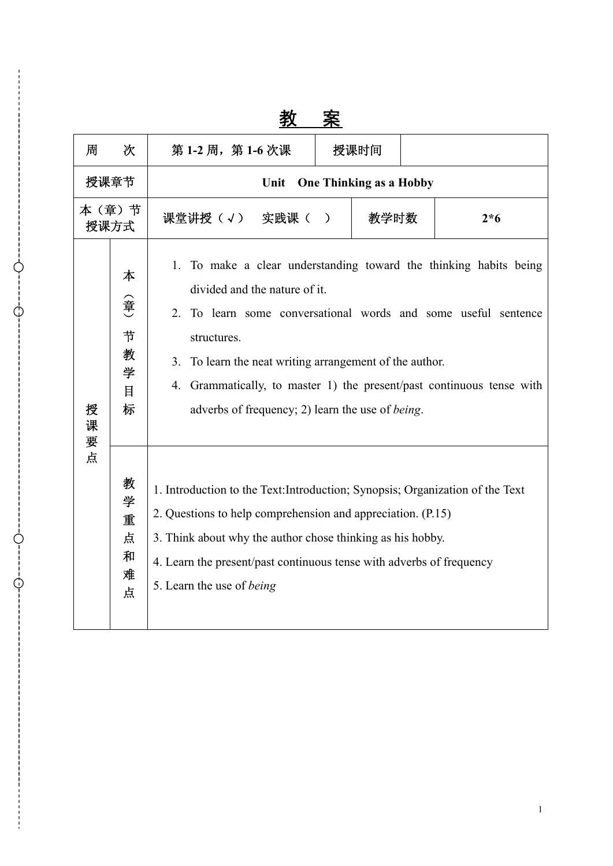|               |                                  | サ人                                                                                                                                                                                                                                                                                                                     | ᄌ                                                                                                                                                                                                                                                                                                                                                        |      |       |  |
|---------------|----------------------------------|------------------------------------------------------------------------------------------------------------------------------------------------------------------------------------------------------------------------------------------------------------------------------------------------------------------------|----------------------------------------------------------------------------------------------------------------------------------------------------------------------------------------------------------------------------------------------------------------------------------------------------------------------------------------------------------|------|-------|--|
| 周             | 次                                | 第1-2周, 第1-6次课                                                                                                                                                                                                                                                                                                          |                                                                                                                                                                                                                                                                                                                                                          | 授课时间 |       |  |
| 授课章节          |                                  | <b>One Thinking as a Hobby</b><br>Unit                                                                                                                                                                                                                                                                                 |                                                                                                                                                                                                                                                                                                                                                          |      |       |  |
| 本(章)节<br>授课方式 |                                  | 课堂讲授(√) 实践课(                                                                                                                                                                                                                                                                                                           | 教学时数<br>$\mathcal{L}$                                                                                                                                                                                                                                                                                                                                    |      | $2*6$ |  |
| 授<br>课<br>要   | 本<br>(章<br>节<br>教<br>学<br>目<br>标 | 1.<br>2.<br>structures.<br>3.<br>4.                                                                                                                                                                                                                                                                                    | To make a clear understanding toward the thinking habits being<br>divided and the nature of it.<br>To learn some conversational words and some useful sentence<br>To learn the neat writing arrangement of the author.<br>Grammatically, to master 1) the present/past continuous tense with<br>adverbs of frequency; 2) learn the use of <i>being</i> . |      |       |  |
| 点             | 教<br>学<br>重<br>点<br>和<br>难<br>点  | 1. Introduction to the Text: Introduction; Synopsis; Organization of the Text<br>2. Questions to help comprehension and appreciation. (P.15)<br>3. Think about why the author chose thinking as his hobby.<br>4. Learn the present/past continuous tense with adverbs of frequency<br>5. Learn the use of <i>being</i> |                                                                                                                                                                                                                                                                                                                                                          |      |       |  |

 $\mathcal{C}$ 

G

教 案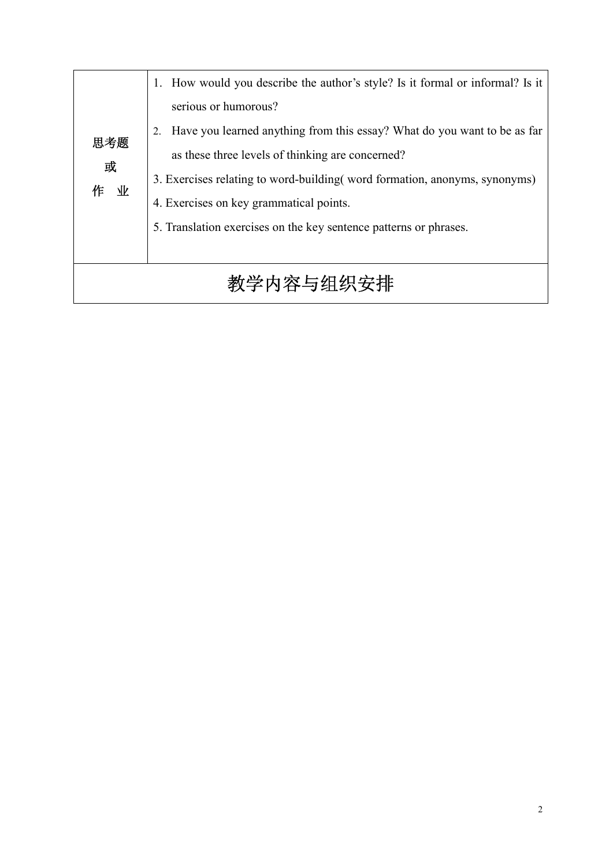|           | 1. How would you describe the author's style? Is it formal or informal? Is it |  |  |
|-----------|-------------------------------------------------------------------------------|--|--|
|           | serious or humorous?                                                          |  |  |
| 思考题       | Have you learned anything from this essay? What do you want to be as far      |  |  |
| 或         | as these three levels of thinking are concerned?                              |  |  |
| 作业        | 3. Exercises relating to word-building (word formation, anonyms, synonyms)    |  |  |
|           | 4. Exercises on key grammatical points.                                       |  |  |
|           | 5. Translation exercises on the key sentence patterns or phrases.             |  |  |
|           |                                                                               |  |  |
| 教学内容与组织安排 |                                                                               |  |  |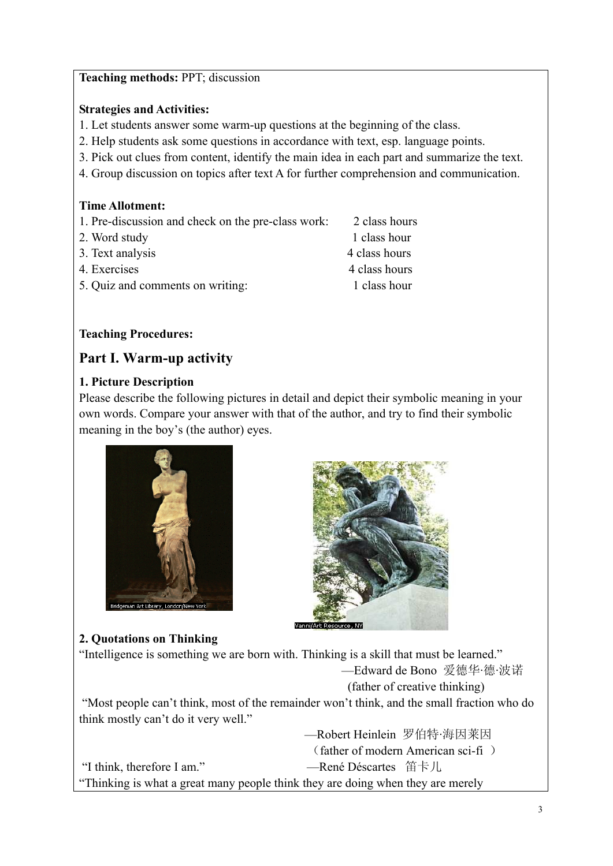#### **Teaching methods:** PPT; discussion

#### **Strategies and Activities:**

- 1. Let students answer some warm-up questions at the beginning of the class.
- 2. Help students ask some questions in accordance with text, esp. language points.
- 3. Pick out clues from content, identify the main idea in each part and summarize the text.
- 4. Group discussion on topics after text A for further comprehension and communication.

#### **Time Allotment:**

- 1. Pre-discussion and check on the pre-class work: 2 class hours
- 2. Word study 1 class hour
- 3. Text analysis 4 class hours
- 4. Exercises 4 class hours
- 5. Quiz and comments on writing: 1 class hour

#### **Teaching Procedures:**

### **Part I. Warm-up activity**

#### **1. Picture Description**

Please describe the following pictures in detail and depict their symbolic meaning in your own words. Compare your answer with that of the author, and try to find their symbolic meaning in the boy's (the author) eyes.





# **2. Quotations on Thinking**

"Intelligence is something we are born with. Thinking is a skill that must be learned." —Edward de Bono 爱德华·德·波诺 (father of creative thinking) "Most people can't think, most of the remainder won't think, and the small fraction who do think mostly can't do it very well." —Robert Heinlein 罗伯特·海因莱因 (father of modern American sci-fi ) "I think, therefore I am." —René Déscartes 笛卡儿 "Thinking is what a great many people think they are doing when they are merely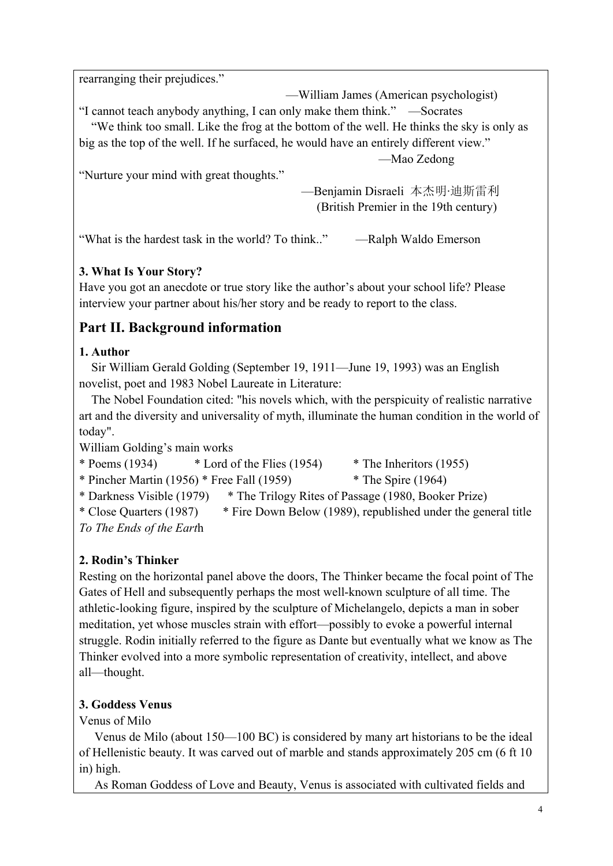rearranging their prejudices."

 —William James (American psychologist) "I cannot teach anybody anything, I can only make them think." —Socrates "We think too small. Like the frog at the bottom of the well. He thinks the sky is only as big as the top of the well. If he surfaced, he would have an entirely different view." —Mao Zedong

"Nurture your mind with great thoughts."

 —Benjamin Disraeli 本杰明·迪斯雷利 (British Premier in the 19th century)

"What is the hardest task in the world? To think.." —Ralph Waldo Emerson

# **3. What Is Your Story?**

Have you got an anecdote or true story like the author's about your school life? Please interview your partner about his/her story and be ready to report to the class.

# **Part II. Background information**

# **1. Author**

 Sir William Gerald Golding (September 19, 1911—June 19, 1993) was an English novelist, poet and 1983 Nobel Laureate in Literature:

 The Nobel Foundation cited: "his novels which, with the perspicuity of realistic narrative art and the diversity and universality of myth, illuminate the human condition in the world of today".

William Golding's main works

\* Poems (1934) \* Lord of the Flies (1954) \* The Inheritors (1955) \* Pincher Martin (1956) \* Free Fall (1959)  $*$  The Spire (1964) \* Darkness Visible (1979) \* The Trilogy Rites of Passage (1980, Booker Prize) \* Close Quarters (1987) \* Fire Down Below (1989), republished under the general title *To The Ends of the Eart*h

# **2. Rodin's Thinker**

Resting on the horizontal panel above the doors, The Thinker became the focal point of The Gates of Hell and subsequently perhaps the most well-known sculpture of all time. The athletic-looking figure, inspired by the sculpture of Michelangelo, depicts a man in sober meditation, yet whose muscles strain with effort—possibly to evoke a powerful internal struggle. Rodin initially referred to the figure as Dante but eventually what we know as The Thinker evolved into a more symbolic representation of creativity, intellect, and above all—thought.

# **3. Goddess Venus**

Venus of Milo

 Venus de Milo (about 150—100 BC) is considered by many art historians to be the ideal of Hellenistic beauty. It was carved out of marble and stands approximately 205 cm (6 ft 10 in) high.

As Roman Goddess of Love and Beauty, Venus is associated with cultivated fields and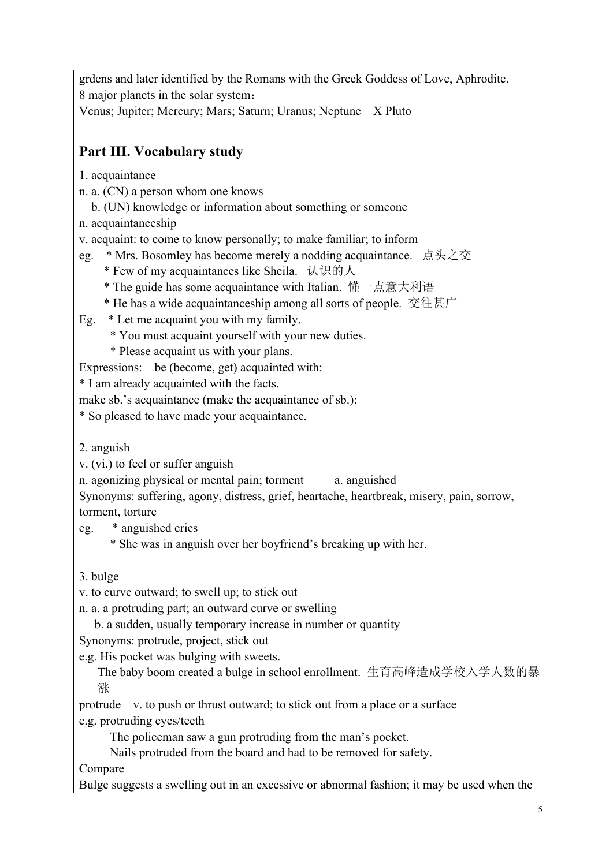grdens and later identified by the Romans with the Greek Goddess of Love, Aphrodite. 8 major planets in the solar system: Venus; Jupiter; Mercury; Mars; Saturn; Uranus; Neptune X Pluto

# **Part III. Vocabulary study**

- 1. acquaintance
- n. a. (CN) a person whom one knows
	- b. (UN) knowledge or information about something or someone
- n. acquaintanceship

v. acquaint: to come to know personally; to make familiar; to inform

- eg. \* Mrs. Bosomley has become merely a nodding acquaintance. 点头之交
	- \* Few of my acquaintances like Sheila. 认识的人
	- \* The guide has some acquaintance with Italian. 懂一点意大利语
	- \* He has a wide acquaintanceship among all sorts of people. 交往甚广

Eg. \* Let me acquaint you with my family.

- \* You must acquaint yourself with your new duties.
- \* Please acquaint us with your plans.

Expressions: be (become, get) acquainted with:

\* I am already acquainted with the facts.

make sb.'s acquaintance (make the acquaintance of sb.):

\* So pleased to have made your acquaintance.

2. anguish

v. (vi.) to feel or suffer anguish

n. agonizing physical or mental pain; torment a. anguished

Synonyms: suffering, agony, distress, grief, heartache, heartbreak, misery, pain, sorrow, torment, torture

eg. \* anguished cries

\* She was in anguish over her boyfriend's breaking up with her.

3. bulge

v. to curve outward; to swell up; to stick out

n. a. a protruding part; an outward curve or swelling

b. a sudden, usually temporary increase in number or quantity

Synonyms: protrude, project, stick out

e.g. His pocket was bulging with sweets.

The baby boom created a bulge in school enrollment. 生育高峰造成学校入学人数的暴 涨

protrude v. to push or thrust outward; to stick out from a place or a surface e.g. protruding eyes/teeth

The policeman saw a gun protruding from the man's pocket.

Nails protruded from the board and had to be removed for safety.

Compare

Bulge suggests a swelling out in an excessive or abnormal fashion; it may be used when the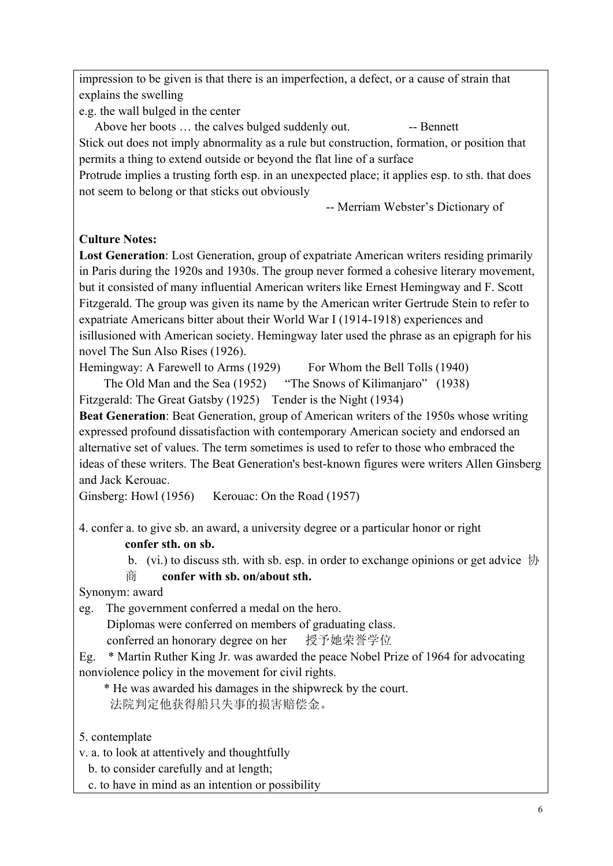impression to be given is that there is an imperfection, a defect, or a cause of strain that explains the swelling

e.g. the wall bulged in the center

Above her boots ... the calves bulged suddenly out. -- Bennett Stick out does not imply abnormality as a rule but construction, formation, or position that permits a thing to extend outside or beyond the flat line of a surface

Protrude implies a trusting forth esp. in an unexpected place; it applies esp. to sth. that does not seem to belong or that sticks out obviously

-- Merriam Webster's Dictionary of

### **Culture Notes:**

**Lost Generation**: Lost Generation, group of expatriate American writers residing primarily in Paris during the 1920s and 1930s. The group never formed a cohesive literary movement, but it consisted of many influential American writers like Ernest Hemingway and F. Scott Fitzgerald. The group was given its name by the American writer Gertrude Stein to refer to expatriate Americans bitter about their World War I (1914-1918) experiences and isillusioned with American society. Hemingway later used the phrase as an epigraph for his novel The Sun Also Rises (1926).

Hemingway: A Farewell to Arms (1929) For Whom the Bell Tolls (1940)

The Old Man and the Sea (1952) "The Snows of Kilimaniaro" (1938)

Fitzgerald: The Great Gatsby (1925) Tender is the Night (1934)

**Beat Generation**: Beat Generation, group of American writers of the 1950s whose writing expressed profound dissatisfaction with contemporary American society and endorsed an alternative set of values. The term sometimes is used to refer to those who embraced the ideas of these writers. The Beat Generation's best-known figures were writers Allen Ginsberg and Jack Kerouac.

Ginsberg: Howl (1956) Kerouac: On the Road (1957)

4. confer a. to give sb. an award, a university degree or a particular honor or right **confer sth. on sb.**

b. (vi.) to discuss sth. with sb. esp. in order to exchange opinions or get advice 协

商 **confer with sb. on/about sth.**

Synonym: award

eg. The government conferred a medal on the hero.

Diplomas were conferred on members of graduating class.

conferred an honorary degree on her 授予她荣誉学位

Eg. \* Martin Ruther King Jr. was awarded the peace Nobel Prize of 1964 for advocating nonviolence policy in the movement for civil rights.

\* He was awarded his damages in the shipwreck by the court.

法院判定他获得船只失事的损害赔偿金。

5. contemplate

v. a. to look at attentively and thoughtfully

b. to consider carefully and at length;

c. to have in mind as an intention or possibility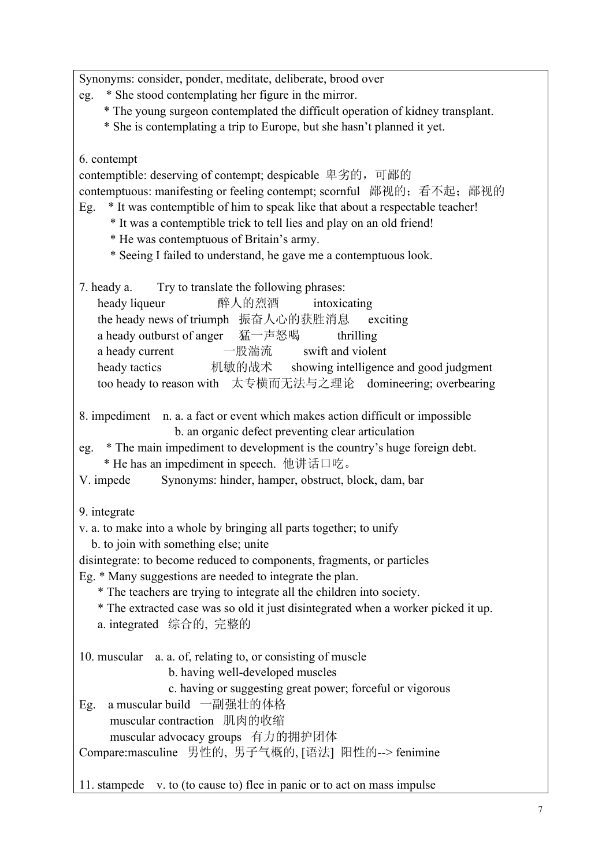Synonyms: consider, ponder, meditate, deliberate, brood over

- eg. \* She stood contemplating her figure in the mirror.
	- \* The young surgeon contemplated the difficult operation of kidney transplant.
	- \* She is contemplating a trip to Europe, but she hasn't planned it yet.

## 6. contempt

contemptible: deserving of contempt; despicable 卑劣的,可鄙的 contemptuous: manifesting or feeling contempt; scornful 鄙视的; 看不起; 鄙视的 Eg. \* It was contemptible of him to speak like that about a respectable teacher!

- \* It was a contemptible trick to tell lies and play on an old friend!
- \* He was contemptuous of Britain's army.
- \* Seeing I failed to understand, he gave me a contemptuous look.

7. heady a. Try to translate the following phrases:

| heady liqueur                                                | 醉人的烈酒 | intoxicating      |                                        |
|--------------------------------------------------------------|-------|-------------------|----------------------------------------|
| the heady news of triumph 振奋人心的获胜消息 exciting                 |       |                   |                                        |
| a heady outburst of anger 猛一声怒喝                              |       | thrilling         |                                        |
| a heady current                                              | 一股湍流  | swift and violent |                                        |
| heady tactics                                                | 机敏的战术 |                   | showing intelligence and good judgment |
| too heady to reason with 太专横而无法与之理论 domineering; overbearing |       |                   |                                        |

- 8. impediment n. a. a fact or event which makes action difficult or impossible b. an organic defect preventing clear articulation
- eg. \* The main impediment to development is the country's huge foreign debt. \* He has an impediment in speech. 他讲话口吃。

V. impede Synonyms: hinder, hamper, obstruct, block, dam, bar

9. integrate

- v. a. to make into a whole by bringing all parts together; to unify
	- b. to join with something else; unite
- disintegrate: to become reduced to components, fragments, or particles
- Eg. \* Many suggestions are needed to integrate the plan.
	- \* The teachers are trying to integrate all the children into society.
	- \* The extracted case was so old it just disintegrated when a worker picked it up.
	- a. integrated 综合的, 完整的

10. muscular a. a. of, relating to, or consisting of muscle

- b. having well-developed muscles
- c. having or suggesting great power; forceful or vigorous
- Eg. a muscular build 一副强壮的体格

muscular contraction 肌肉的收缩

muscular advocacy groups 有力的拥护团体

Compare:masculine 男性的, 男子气概的, [语法] 阳性的--> fenimine

11. stampede v. to (to cause to) flee in panic or to act on mass impulse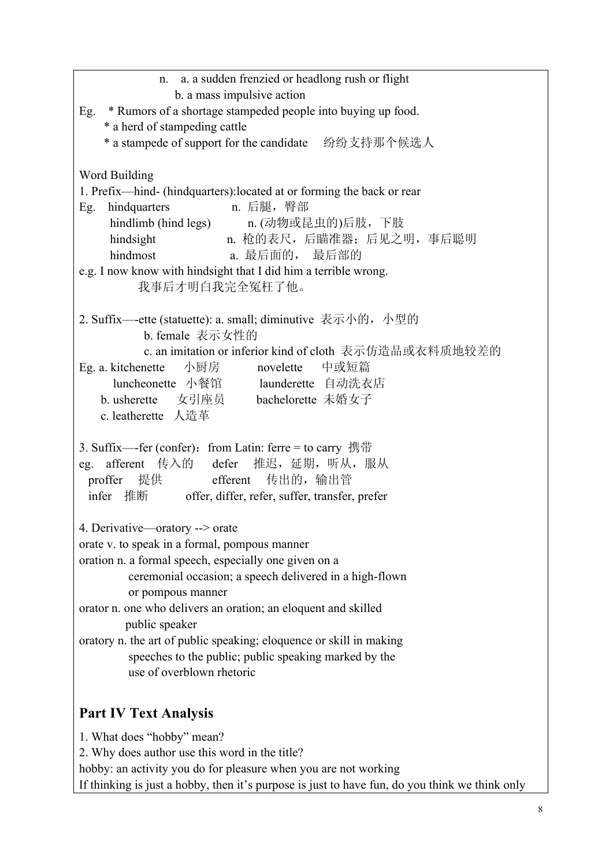| n. a. a sudden frenzied or headlong rush or flight                                                                                                                                                                                                                                                                       |  |  |
|--------------------------------------------------------------------------------------------------------------------------------------------------------------------------------------------------------------------------------------------------------------------------------------------------------------------------|--|--|
| b. a mass impulsive action<br>Eg. * Rumors of a shortage stampeded people into buying up food.                                                                                                                                                                                                                           |  |  |
| * a herd of stampeding cattle                                                                                                                                                                                                                                                                                            |  |  |
|                                                                                                                                                                                                                                                                                                                          |  |  |
| Word Building<br>1. Prefix—hind- (hindquarters): located at or forming the back or rear<br>Eg. hindquarters n. 后腿, 臀部<br>hindlimb (hind legs) n. (动物或昆虫的)后肢, 下肢<br>hindsight n. 枪的表尺, 后瞄准器; 后见之明, 事后聪明<br>hindmost<br>a. 最后面的, 最后部的<br>e.g. I now know with hindsight that I did him a terrible wrong.<br>我事后才明白我完全冤枉了他。 |  |  |
| 2. Suffix—-ette (statuette): a. small; diminutive 表示小的, 小型的<br>b. female 表示女性的                                                                                                                                                                                                                                           |  |  |
| c. an imitation or inferior kind of cloth 表示仿造品或衣料质地较差的<br>Eg. a. kitchenette 小厨房 novelette 中或短篇<br>luncheonette 小餐馆 launderette 自动洗衣店<br>b. usherette 女引座员 bachelorette 未婚女子<br>c. leatherette 人造革                                                                                                                      |  |  |
| 3. Suffix—fer (confer): from Latin: ferre = to carry 携带<br>eg. afferent 传入的 defer 推迟, 延期, 听从, 服从<br>proffer 提供 efferent 传出的, 输出管<br>infer 推断 offer, differ, refer, suffer, transfer, prefer                                                                                                                              |  |  |
| 4. Derivative—oratory --> orate                                                                                                                                                                                                                                                                                          |  |  |
| orate v. to speak in a formal, pompous manner                                                                                                                                                                                                                                                                            |  |  |
| oration n. a formal speech, especially one given on a                                                                                                                                                                                                                                                                    |  |  |
| ceremonial occasion; a speech delivered in a high-flown<br>or pompous manner                                                                                                                                                                                                                                             |  |  |
| orator n. one who delivers an oration; an eloquent and skilled                                                                                                                                                                                                                                                           |  |  |
| public speaker                                                                                                                                                                                                                                                                                                           |  |  |
| oratory n. the art of public speaking; eloquence or skill in making<br>speeches to the public; public speaking marked by the                                                                                                                                                                                             |  |  |
| use of overblown rhetoric                                                                                                                                                                                                                                                                                                |  |  |
|                                                                                                                                                                                                                                                                                                                          |  |  |
| <b>Part IV Text Analysis</b>                                                                                                                                                                                                                                                                                             |  |  |
| 1. What does "hobby" mean?                                                                                                                                                                                                                                                                                               |  |  |
| 2. Why does author use this word in the title?                                                                                                                                                                                                                                                                           |  |  |
| hobby: an activity you do for pleasure when you are not working                                                                                                                                                                                                                                                          |  |  |

If thinking is just a hobby, then it's purpose is just to have fun, do you think we think only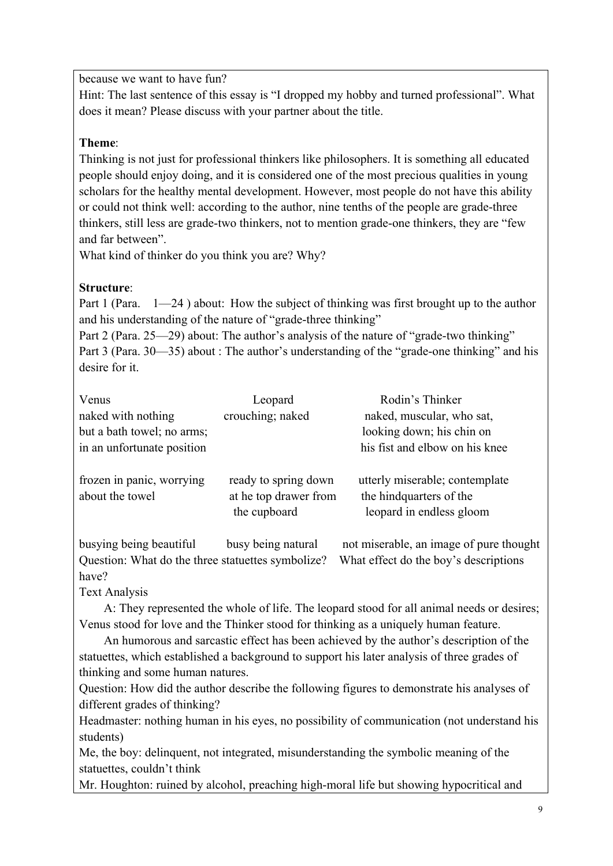because we want to have fun?

Hint: The last sentence of this essay is "I dropped my hobby and turned professional". What does it mean? Please discuss with your partner about the title.

#### **Theme**:

Thinking is not just for professional thinkers like philosophers. It is something all educated people should enjoy doing, and it is considered one of the most precious qualities in young scholars for the healthy mental development. However, most people do not have this ability or could not think well: according to the author, nine tenths of the people are grade-three thinkers, still less are grade-two thinkers, not to mention grade-one thinkers, they are "few and far between".

What kind of thinker do you think you are? Why?

# **Structure**:

Part 1 (Para.  $1-24$ ) about: How the subject of thinking was first brought up to the author and his understanding of the nature of "grade-three thinking"

Part 2 (Para. 25—29) about: The author's analysis of the nature of "grade-two thinking" Part 3 (Para. 30—35) about : The author's understanding of the "grade-one thinking" and his desire for it.

| Venus                                        | Leopard                                                       | Rodin's Thinker                                                                        |
|----------------------------------------------|---------------------------------------------------------------|----------------------------------------------------------------------------------------|
| naked with nothing                           | crouching; naked                                              | naked, muscular, who sat,                                                              |
| but a bath towel; no arms;                   |                                                               | looking down; his chin on                                                              |
| in an unfortunate position                   |                                                               | his fist and elbow on his knee                                                         |
| frozen in panic, worrying<br>about the towel | ready to spring down<br>at he top drawer from<br>the cupboard | utterly miserable; contemplate<br>the hind quarters of the<br>leopard in endless gloom |

busying being beautiful busy being natural not miserable, an image of pure thought Question: What do the three statuettes symbolize? What effect do the boy's descriptions have?

Text Analysis

A: They represented the whole of life. The leopard stood for all animal needs or desires; Venus stood for love and the Thinker stood for thinking as a uniquely human feature.

 An humorous and sarcastic effect has been achieved by the author's description of the statuettes, which established a background to support his later analysis of three grades of thinking and some human natures.

Question: How did the author describe the following figures to demonstrate his analyses of different grades of thinking?

Headmaster: nothing human in his eyes, no possibility of communication (not understand his students)

Me, the boy: delinquent, not integrated, misunderstanding the symbolic meaning of the statuettes, couldn't think

Mr. Houghton: ruined by alcohol, preaching high-moral life but showing hypocritical and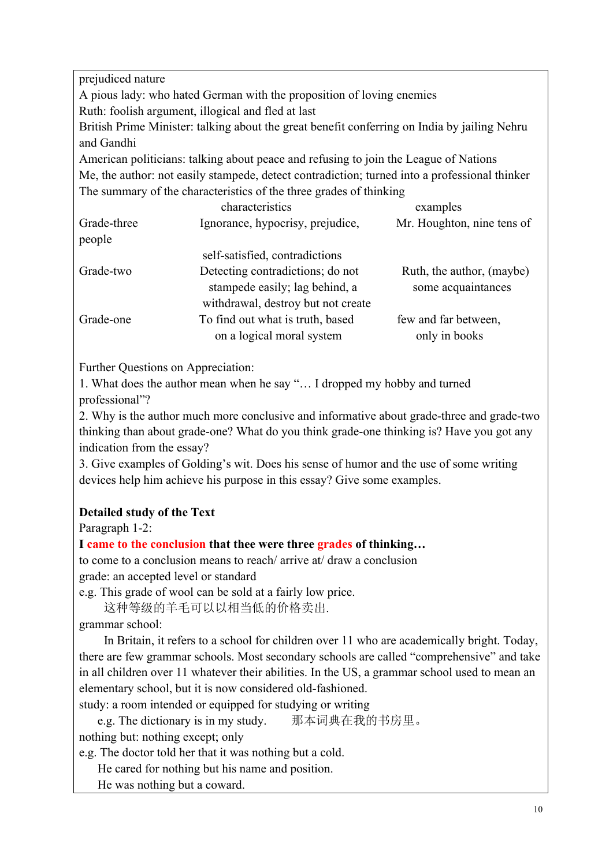prejudiced nature A pious lady: who hated German with the proposition of loving enemies Ruth: foolish argument, illogical and fled at last British Prime Minister: talking about the great benefit conferring on India by jailing Nehru and Gandhi American politicians: talking about peace and refusing to join the League of Nations Me, the author: not easily stampede, detect contradiction; turned into a professional thinker The summary of the characteristics of the three grades of thinking

| characteristics                    | examples                   |
|------------------------------------|----------------------------|
| Ignorance, hypocrisy, prejudice,   | Mr. Houghton, nine tens of |
|                                    |                            |
| self-satisfied, contradictions     |                            |
| Detecting contradictions; do not   | Ruth, the author, (maybe)  |
| stampede easily; lag behind, a     | some acquaintances         |
| withdrawal, destroy but not create |                            |
| To find out what is truth, based   | few and far between,       |
| on a logical moral system          | only in books              |
|                                    |                            |

Further Questions on Appreciation:

1. What does the author mean when he say "… I dropped my hobby and turned professional"?

2. Why is the author much more conclusive and informative about grade-three and grade-two thinking than about grade-one? What do you think grade-one thinking is? Have you got any indication from the essay?

3. Give examples of Golding's wit. Does his sense of humor and the use of some writing devices help him achieve his purpose in this essay? Give some examples.

#### **Detailed study of the Text**

Paragraph 1-2:

#### **I came to the conclusion that thee were three grades of thinking…**

to come to a conclusion means to reach/ arrive at/ draw a conclusion grade: an accepted level or standard

e.g. This grade of wool can be sold at a fairly low price.

这种等级的羊毛可以以相当低的价格卖出.

grammar school:

 In Britain, it refers to a school for children over 11 who are academically bright. Today, there are few grammar schools. Most secondary schools are called "comprehensive" and take in all children over 11 whatever their abilities. In the US, a grammar school used to mean an elementary school, but it is now considered old-fashioned.

study: a room intended or equipped for studying or writing

e.g. The dictionary is in my study. 那本词典在我的书房里。

nothing but: nothing except; only

e.g. The doctor told her that it was nothing but a cold.

He cared for nothing but his name and position.

He was nothing but a coward.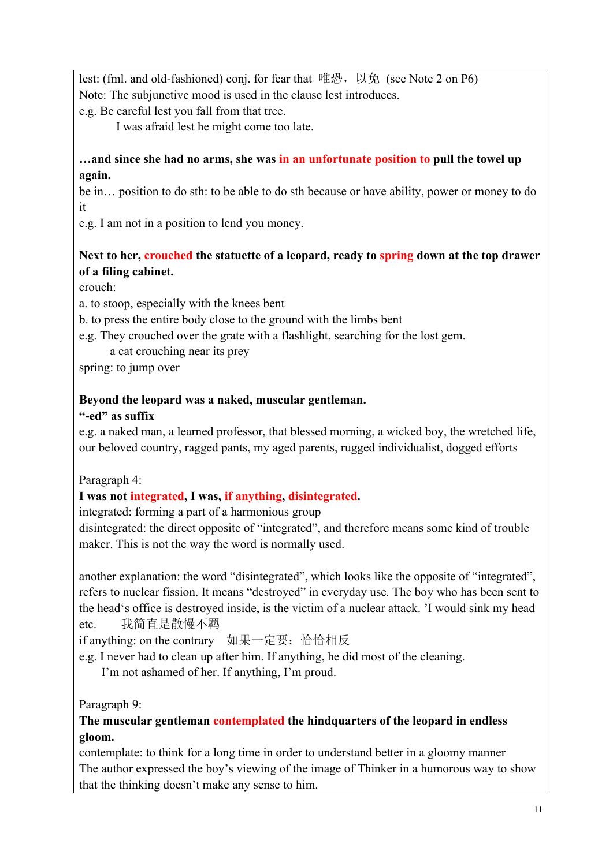lest: (fml. and old-fashioned) conj. for fear that 唯恐, 以免 (see Note 2 on P6) Note: The subjunctive mood is used in the clause lest introduces.

e.g. Be careful lest you fall from that tree.

I was afraid lest he might come too late.

#### **…and since she had no arms, she was in an unfortunate position to pull the towel up again.**

be in… position to do sth: to be able to do sth because or have ability, power or money to do it

e.g. I am not in a position to lend you money.

# **Next to her, crouched the statuette of a leopard, ready to spring down at the top drawer of a filing cabinet.**

crouch:

a. to stoop, especially with the knees bent

b. to press the entire body close to the ground with the limbs bent

e.g. They crouched over the grate with a flashlight, searching for the lost gem.

a cat crouching near its prey

spring: to jump over

### **Beyond the leopard was a naked, muscular gentleman.**

### **"-ed" as suffix**

e.g. a naked man, a learned professor, that blessed morning, a wicked boy, the wretched life, our beloved country, ragged pants, my aged parents, rugged individualist, dogged efforts

Paragraph 4:

# **I was not integrated, I was, if anything, disintegrated.**

integrated: forming a part of a harmonious group

disintegrated: the direct opposite of "integrated", and therefore means some kind of trouble maker. This is not the way the word is normally used.

another explanation: the word "disintegrated", which looks like the opposite of "integrated", refers to nuclear fission. It means "destroyed" in everyday use. The boy who has been sent to the head's office is destroyed inside, is the victim of a nuclear attack. 'I would sink my head etc. 我简直是散慢不羁

if anything: on the contrary 如果一定要; 恰恰相反

e.g. I never had to clean up after him. If anything, he did most of the cleaning.

I'm not ashamed of her. If anything, I'm proud.

Paragraph 9:

### **The muscular gentleman contemplated the hindquarters of the leopard in endless gloom.**

contemplate: to think for a long time in order to understand better in a gloomy manner The author expressed the boy's viewing of the image of Thinker in a humorous way to show that the thinking doesn't make any sense to him.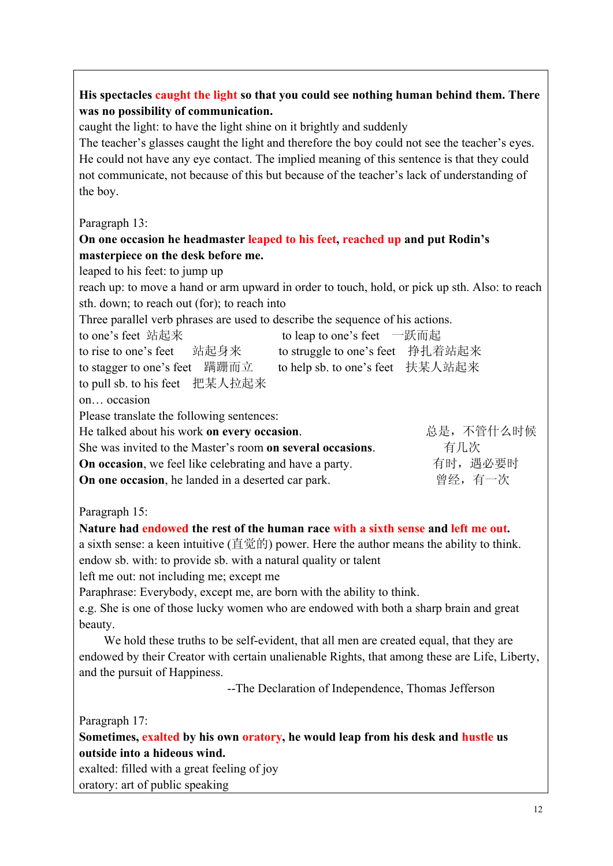| His spectacles caught the light so that you could see nothing human behind them. There<br>was no possibility of communication.<br>caught the light: to have the light shine on it brightly and suddenly<br>The teacher's glasses caught the light and therefore the boy could not see the teacher's eyes.<br>He could not have any eye contact. The implied meaning of this sentence is that they could<br>not communicate, not because of this but because of the teacher's lack of understanding of<br>the boy. |  |  |  |  |
|-------------------------------------------------------------------------------------------------------------------------------------------------------------------------------------------------------------------------------------------------------------------------------------------------------------------------------------------------------------------------------------------------------------------------------------------------------------------------------------------------------------------|--|--|--|--|
| Paragraph 13:                                                                                                                                                                                                                                                                                                                                                                                                                                                                                                     |  |  |  |  |
| On one occasion he headmaster leaped to his feet, reached up and put Rodin's                                                                                                                                                                                                                                                                                                                                                                                                                                      |  |  |  |  |
| masterpiece on the desk before me.                                                                                                                                                                                                                                                                                                                                                                                                                                                                                |  |  |  |  |
| leaped to his feet: to jump up                                                                                                                                                                                                                                                                                                                                                                                                                                                                                    |  |  |  |  |
| reach up: to move a hand or arm upward in order to touch, hold, or pick up sth. Also: to reach<br>sth. down; to reach out (for); to reach into                                                                                                                                                                                                                                                                                                                                                                    |  |  |  |  |
| Three parallel verb phrases are used to describe the sequence of his actions.                                                                                                                                                                                                                                                                                                                                                                                                                                     |  |  |  |  |
| to one's feet 站起来<br>to leap to one's feet 一跃而起                                                                                                                                                                                                                                                                                                                                                                                                                                                                   |  |  |  |  |
| to rise to one's feet   站起身来<br>to struggle to one's feet 挣扎着站起来                                                                                                                                                                                                                                                                                                                                                                                                                                                  |  |  |  |  |
| to stagger to one's feet 蹒跚而立<br>to help sb. to one's feet 扶某人站起来                                                                                                                                                                                                                                                                                                                                                                                                                                                 |  |  |  |  |
| to pull sb. to his feet 把某人拉起来                                                                                                                                                                                                                                                                                                                                                                                                                                                                                    |  |  |  |  |
| on occasion                                                                                                                                                                                                                                                                                                                                                                                                                                                                                                       |  |  |  |  |
| Please translate the following sentences:                                                                                                                                                                                                                                                                                                                                                                                                                                                                         |  |  |  |  |
| 总是,不管什么时候<br>He talked about his work on every occasion.                                                                                                                                                                                                                                                                                                                                                                                                                                                          |  |  |  |  |
| 有几次<br>She was invited to the Master's room on several occasions.                                                                                                                                                                                                                                                                                                                                                                                                                                                 |  |  |  |  |
| 有时, 遇必要时<br>On occasion, we feel like celebrating and have a party.                                                                                                                                                                                                                                                                                                                                                                                                                                               |  |  |  |  |
| 曾经, 有一次<br>On one occasion, he landed in a deserted car park.                                                                                                                                                                                                                                                                                                                                                                                                                                                     |  |  |  |  |
| Paragraph 15:                                                                                                                                                                                                                                                                                                                                                                                                                                                                                                     |  |  |  |  |
| Nature had endowed the rest of the human race with a sixth sense and left me out.                                                                                                                                                                                                                                                                                                                                                                                                                                 |  |  |  |  |
| a sixth sense: a keen intuitive (直觉的) power. Here the author means the ability to think.                                                                                                                                                                                                                                                                                                                                                                                                                          |  |  |  |  |
| endow sb. with: to provide sb. with a natural quality or talent                                                                                                                                                                                                                                                                                                                                                                                                                                                   |  |  |  |  |
| left me out: not including me; except me                                                                                                                                                                                                                                                                                                                                                                                                                                                                          |  |  |  |  |
| Paraphrase: Everybody, except me, are born with the ability to think.                                                                                                                                                                                                                                                                                                                                                                                                                                             |  |  |  |  |
| e.g. She is one of those lucky women who are endowed with both a sharp brain and great                                                                                                                                                                                                                                                                                                                                                                                                                            |  |  |  |  |
| beauty.                                                                                                                                                                                                                                                                                                                                                                                                                                                                                                           |  |  |  |  |
| We hold these truths to be self-evident, that all men are created equal, that they are                                                                                                                                                                                                                                                                                                                                                                                                                            |  |  |  |  |
| endowed by their Creator with certain unalienable Rights, that among these are Life, Liberty,<br>and the pursuit of Happiness.                                                                                                                                                                                                                                                                                                                                                                                    |  |  |  |  |
| --The Declaration of Independence, Thomas Jefferson                                                                                                                                                                                                                                                                                                                                                                                                                                                               |  |  |  |  |
|                                                                                                                                                                                                                                                                                                                                                                                                                                                                                                                   |  |  |  |  |
| Paragraph 17:                                                                                                                                                                                                                                                                                                                                                                                                                                                                                                     |  |  |  |  |
| Sometimes, exalted by his own oratory, he would leap from his desk and hustle us                                                                                                                                                                                                                                                                                                                                                                                                                                  |  |  |  |  |
| outside into a hideous wind.                                                                                                                                                                                                                                                                                                                                                                                                                                                                                      |  |  |  |  |
| exalted: filled with a great feeling of joy                                                                                                                                                                                                                                                                                                                                                                                                                                                                       |  |  |  |  |
| oratory: art of public speaking                                                                                                                                                                                                                                                                                                                                                                                                                                                                                   |  |  |  |  |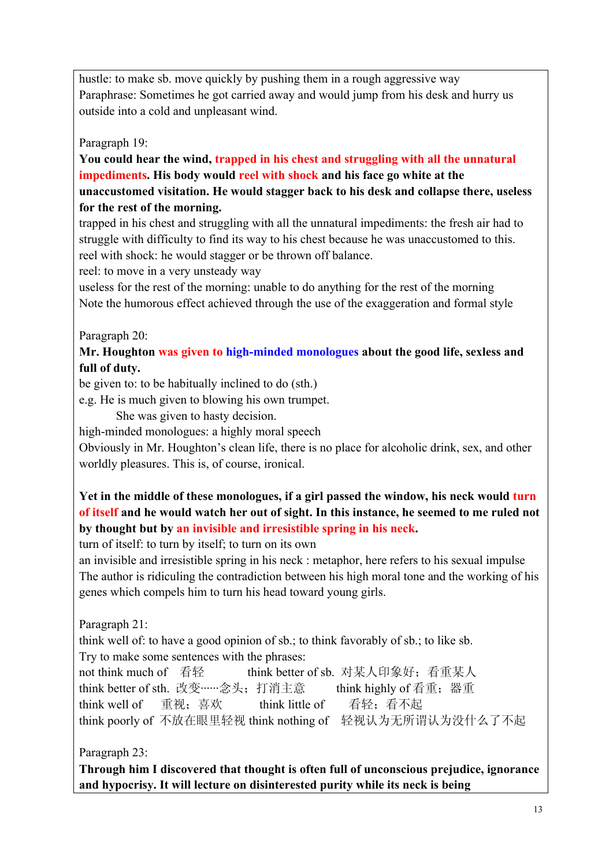hustle: to make sb. move quickly by pushing them in a rough aggressive way Paraphrase: Sometimes he got carried away and would jump from his desk and hurry us outside into a cold and unpleasant wind.

Paragraph 19:

**You could hear the wind, trapped in his chest and struggling with all the unnatural impediments. His body would reel with shock and his face go white at the unaccustomed visitation. He would stagger back to his desk and collapse there, useless for the rest of the morning.** 

trapped in his chest and struggling with all the unnatural impediments: the fresh air had to struggle with difficulty to find its way to his chest because he was unaccustomed to this. reel with shock: he would stagger or be thrown off balance.

reel: to move in a very unsteady way

useless for the rest of the morning: unable to do anything for the rest of the morning Note the humorous effect achieved through the use of the exaggeration and formal style

Paragraph 20:

**Mr. Houghton was given to high-minded monologues about the good life, sexless and full of duty.** 

be given to: to be habitually inclined to do (sth.)

e.g. He is much given to blowing his own trumpet.

She was given to hasty decision.

high-minded monologues: a highly moral speech

Obviously in Mr. Houghton's clean life, there is no place for alcoholic drink, sex, and other worldly pleasures. This is, of course, ironical.

### **Yet in the middle of these monologues, if a girl passed the window, his neck would turn of itself and he would watch her out of sight. In this instance, he seemed to me ruled not by thought but by an invisible and irresistible spring in his neck.**

turn of itself: to turn by itself; to turn on its own

an invisible and irresistible spring in his neck : metaphor, here refers to his sexual impulse The author is ridiculing the contradiction between his high moral tone and the working of his genes which compels him to turn his head toward young girls.

Paragraph 21:

think well of: to have a good opinion of sb.; to think favorably of sb.; to like sb. Try to make some sentences with the phrases:

not think much of 看轻 think better of sb 对某人印象好;看重某人 think better of sth. 改变……念头; 打消主意 think highly of 看重; 器重 think well of 重视; 喜欢 think little of 看轻; 看不起 think poorly of 不放在眼里轻视 think nothing of 轻视认为无所谓认为没什么了不起

Paragraph 23:

**Through him I discovered that thought is often full of unconscious prejudice, ignorance and hypocrisy. It will lecture on disinterested purity while its neck is being**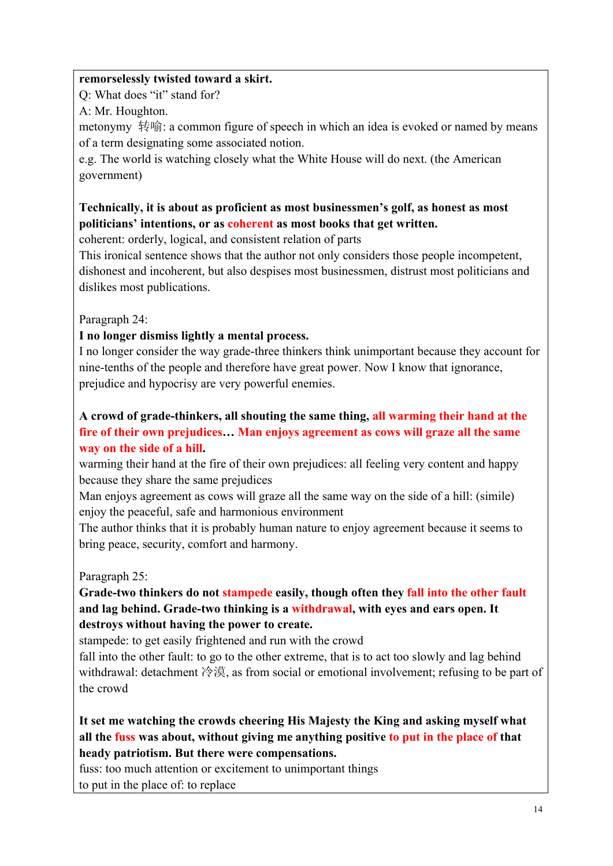#### **remorselessly twisted toward a skirt.**

Q: What does "it" stand for?

A: Mr. Houghton.

metonymy 转喻: a common figure of speech in which an idea is evoked or named by means of a term designating some associated notion.

e.g. The world is watching closely what the White House will do next. (the American government)

# **Technically, it is about as proficient as most businessmen's golf, as honest as most politicians' intentions, or as coherent as most books that get written.**

coherent: orderly, logical, and consistent relation of parts

This ironical sentence shows that the author not only considers those people incompetent, dishonest and incoherent, but also despises most businessmen, distrust most politicians and dislikes most publications.

#### Paragraph 24:

### **I no longer dismiss lightly a mental process.**

I no longer consider the way grade-three thinkers think unimportant because they account for nine-tenths of the people and therefore have great power. Now I know that ignorance, prejudice and hypocrisy are very powerful enemies.

#### **A crowd of grade-thinkers, all shouting the same thing, all warming their hand at the fire of their own prejudices… Man enjoys agreement as cows will graze all the same way on the side of a hill.**

warming their hand at the fire of their own prejudices: all feeling very content and happy because they share the same prejudices

Man enjoys agreement as cows will graze all the same way on the side of a hill: (simile) enjoy the peaceful, safe and harmonious environment

The author thinks that it is probably human nature to enjoy agreement because it seems to bring peace, security, comfort and harmony.

# Paragraph 25:

### **Grade-two thinkers do not stampede easily, though often they fall into the other fault and lag behind. Grade-two thinking is a withdrawal, with eyes and ears open. It destroys without having the power to create.**

stampede: to get easily frightened and run with the crowd

fall into the other fault: to go to the other extreme, that is to act too slowly and lag behind withdrawal: detachment 冷漠, as from social or emotional involvement; refusing to be part of the crowd

### **It set me watching the crowds cheering His Majesty the King and asking myself what all the fuss was about, without giving me anything positive to put in the place of that heady patriotism. But there were compensations.**

fuss: too much attention or excitement to unimportant things

to put in the place of: to replace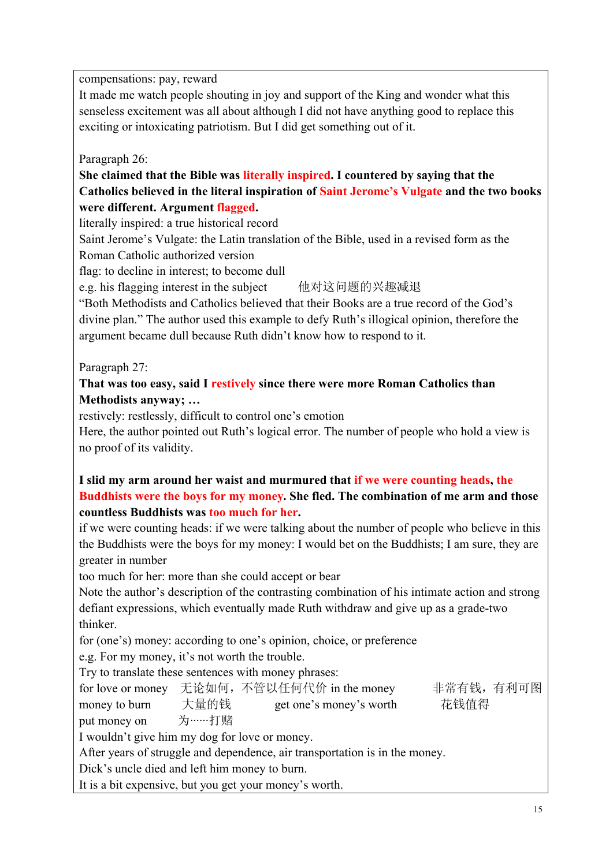compensations: pay, reward

It made me watch people shouting in joy and support of the King and wonder what this senseless excitement was all about although I did not have anything good to replace this exciting or intoxicating patriotism. But I did get something out of it.

Paragraph 26:

**She claimed that the Bible was literally inspired. I countered by saying that the Catholics believed in the literal inspiration of Saint Jerome's Vulgate and the two books were different. Argument flagged.** 

literally inspired: a true historical record

Saint Jerome's Vulgate: the Latin translation of the Bible, used in a revised form as the Roman Catholic authorized version

flag: to decline in interest; to become dull

e.g. his flagging interest in the subject 他对这问题的兴趣减退

"Both Methodists and Catholics believed that their Books are a true record of the God's divine plan." The author used this example to defy Ruth's illogical opinion, therefore the argument became dull because Ruth didn't know how to respond to it.

Paragraph 27:

#### **That was too easy, said I restively since there were more Roman Catholics than Methodists anyway; …**

restively: restlessly, difficult to control one's emotion

Here, the author pointed out Ruth's logical error. The number of people who hold a view is no proof of its validity.

### **I slid my arm around her waist and murmured that if we were counting heads, the Buddhists were the boys for my money. She fled. The combination of me arm and those countless Buddhists was too much for her.**

if we were counting heads: if we were talking about the number of people who believe in this the Buddhists were the boys for my money: I would bet on the Buddhists; I am sure, they are greater in number

too much for her: more than she could accept or bear

Note the author's description of the contrasting combination of his intimate action and strong defiant expressions, which eventually made Ruth withdraw and give up as a grade-two thinker.

for (one's) money: according to one's opinion, choice, or preference

e.g. For my money, it's not worth the trouble.

Try to translate these sentences with money phrases:

for love or money 无论如何,不管以任何代价 in the money 非常有钱,有利可图 money to burn 大量的钱 get one's money's worth 花钱值得 put money on 为……打赌

I wouldn't give him my dog for love or money.

After years of struggle and dependence, air transportation is in the money.

Dick's uncle died and left him money to burn.

It is a bit expensive, but you get your money's worth.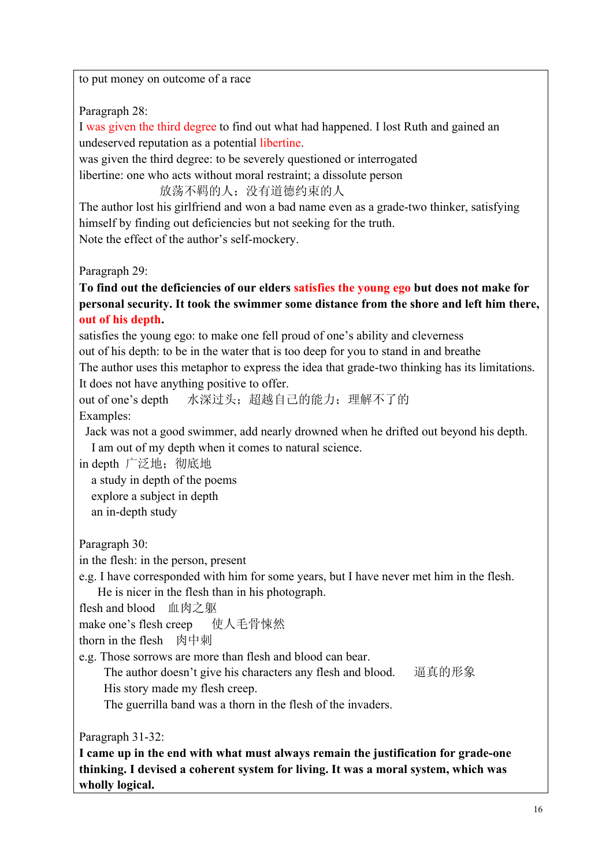to put money on outcome of a race

Paragraph 28:

I was given the third degree to find out what had happened. I lost Ruth and gained an undeserved reputation as a potential libertine.

was given the third degree: to be severely questioned or interrogated

libertine: one who acts without moral restraint; a dissolute person

放荡不羁的人;没有道德约束的人

The author lost his girlfriend and won a bad name even as a grade-two thinker, satisfying himself by finding out deficiencies but not seeking for the truth. Note the effect of the author's self-mockery.

Paragraph 29:

**To find out the deficiencies of our elders satisfies the young ego but does not make for personal security. It took the swimmer some distance from the shore and left him there, out of his depth.** 

satisfies the young ego: to make one fell proud of one's ability and cleverness out of his depth: to be in the water that is too deep for you to stand in and breathe The author uses this metaphor to express the idea that grade-two thinking has its limitations. It does not have anything positive to offer.

```
out of one's depth 水深过头;超越自己的能力;理解不了的
Examples:
```
 Jack was not a good swimmer, add nearly drowned when he drifted out beyond his depth. I am out of my depth when it comes to natural science.

in depth 广泛地; 彻底地

 a study in depth of the poems explore a subject in depth an in-depth study

Paragraph 30:

in the flesh: in the person, present

e.g. I have corresponded with him for some years, but I have never met him in the flesh. He is nicer in the flesh than in his photograph.

flesh and blood 血肉之躯

make one's flesh creep 使人毛骨悚然

thorn in the flesh 肉中刺

e.g. Those sorrows are more than flesh and blood can bear.

The author doesn't give his characters any flesh and blood. 逼真的形象

His story made my flesh creep.

The guerrilla band was a thorn in the flesh of the invaders.

Paragraph 31-32:

**I came up in the end with what must always remain the justification for grade-one thinking. I devised a coherent system for living. It was a moral system, which was wholly logical.**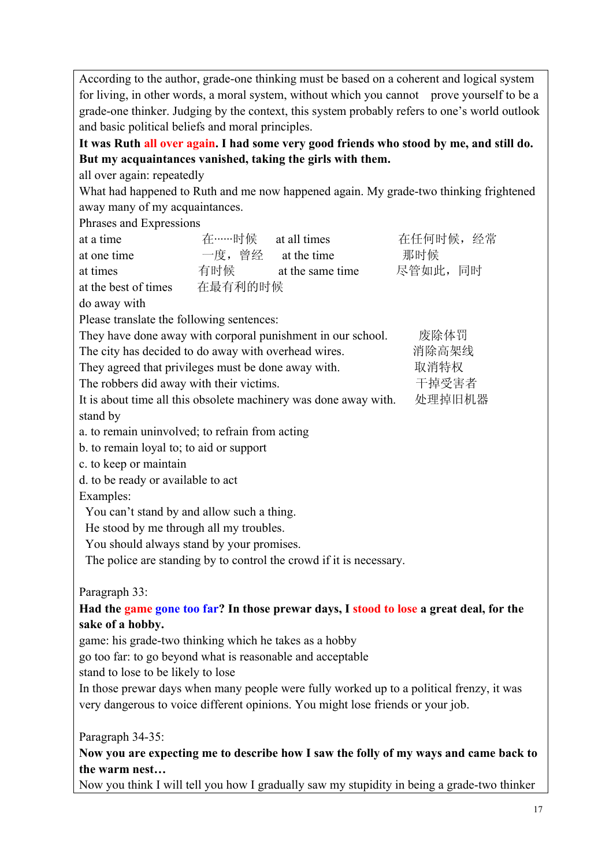According to the author, grade-one thinking must be based on a coherent and logical system for living, in other words, a moral system, without which you cannot prove yourself to be a grade-one thinker. Judging by the context, this system probably refers to one's world outlook and basic political beliefs and moral principles.

**It was Ruth all over again. I had some very good friends who stood by me, and still do. But my acquaintances vanished, taking the girls with them.** 

all over again: repeatedly

What had happened to Ruth and me now happened again. My grade-two thinking frightened away many of my acquaintances.

Phrases and Expressions

| at a time                                                                                |                                         | 在……时候 at all times                                               | 在任何时候, 经常 |  |  |  |
|------------------------------------------------------------------------------------------|-----------------------------------------|------------------------------------------------------------------|-----------|--|--|--|
| at one time                                                                              | 一度, 曾经 at the time                      |                                                                  | 那时候       |  |  |  |
| at times                                                                                 | 有时候                                     | at the same time                                                 | 尽管如此,同时   |  |  |  |
| at the best of times                                                                     | 在最有利的时候                                 |                                                                  |           |  |  |  |
| do away with                                                                             |                                         |                                                                  |           |  |  |  |
| Please translate the following sentences:                                                |                                         |                                                                  |           |  |  |  |
|                                                                                          |                                         | They have done away with corporal punishment in our school.      | 废除体罚      |  |  |  |
| The city has decided to do away with overhead wires.                                     |                                         |                                                                  | 消除高架线     |  |  |  |
| They agreed that privileges must be done away with.                                      |                                         |                                                                  | 取消特权      |  |  |  |
| The robbers did away with their victims.                                                 |                                         |                                                                  | 干掉受害者     |  |  |  |
|                                                                                          |                                         | It is about time all this obsolete machinery was done away with. | 处理掉旧机器    |  |  |  |
| stand by                                                                                 |                                         |                                                                  |           |  |  |  |
| a. to remain uninvolved; to refrain from acting                                          |                                         |                                                                  |           |  |  |  |
| b. to remain loyal to; to aid or support                                                 |                                         |                                                                  |           |  |  |  |
| c. to keep or maintain                                                                   |                                         |                                                                  |           |  |  |  |
| d. to be ready or available to act                                                       |                                         |                                                                  |           |  |  |  |
| Examples:                                                                                |                                         |                                                                  |           |  |  |  |
| You can't stand by and allow such a thing.                                               |                                         |                                                                  |           |  |  |  |
|                                                                                          | He stood by me through all my troubles. |                                                                  |           |  |  |  |
| You should always stand by your promises.                                                |                                         |                                                                  |           |  |  |  |
| The police are standing by to control the crowd if it is necessary.                      |                                         |                                                                  |           |  |  |  |
| Paragraph 33:                                                                            |                                         |                                                                  |           |  |  |  |
| Had the game gone too far? In those prewar days, I stood to lose a great deal, for the   |                                         |                                                                  |           |  |  |  |
| sake of a hobby.                                                                         |                                         |                                                                  |           |  |  |  |
| game: his grade-two thinking which he takes as a hobby                                   |                                         |                                                                  |           |  |  |  |
| go too far: to go beyond what is reasonable and acceptable                               |                                         |                                                                  |           |  |  |  |
| stand to lose to be likely to lose                                                       |                                         |                                                                  |           |  |  |  |
| In those prewar days when many people were fully worked up to a political frenzy, it was |                                         |                                                                  |           |  |  |  |
| very dangerous to voice different opinions. You might lose friends or your job.          |                                         |                                                                  |           |  |  |  |

Paragraph 34-35:

**Now you are expecting me to describe how I saw the folly of my ways and came back to the warm nest…**

Now you think I will tell you how I gradually saw my stupidity in being a grade-two thinker